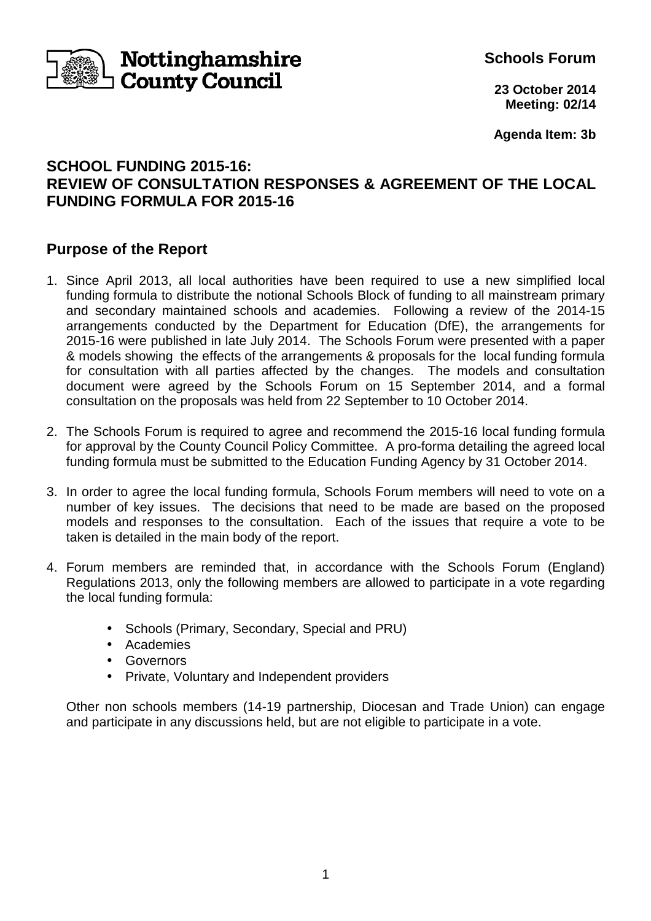

**Schools Forum**

**23 October 2014 Meeting: 02/14**

**Agenda Item: 3b** 

# **SCHOOL FUNDING 2015-16: REVIEW OF CONSULTATION RESPONSES & AGREEMENT OF THE LOCAL FUNDING FORMULA FOR 2015-16**

### **Purpose of the Report**

- 1. Since April 2013, all local authorities have been required to use a new simplified local funding formula to distribute the notional Schools Block of funding to all mainstream primary and secondary maintained schools and academies. Following a review of the 2014-15 arrangements conducted by the Department for Education (DfE), the arrangements for 2015-16 were published in late July 2014. The Schools Forum were presented with a paper & models showing the effects of the arrangements & proposals for the local funding formula for consultation with all parties affected by the changes. The models and consultation document were agreed by the Schools Forum on 15 September 2014, and a formal consultation on the proposals was held from 22 September to 10 October 2014.
- 2. The Schools Forum is required to agree and recommend the 2015-16 local funding formula for approval by the County Council Policy Committee. A pro-forma detailing the agreed local funding formula must be submitted to the Education Funding Agency by 31 October 2014.
- 3. In order to agree the local funding formula, Schools Forum members will need to vote on a number of key issues. The decisions that need to be made are based on the proposed models and responses to the consultation. Each of the issues that require a vote to be taken is detailed in the main body of the report.
- 4. Forum members are reminded that, in accordance with the Schools Forum (England) Regulations 2013, only the following members are allowed to participate in a vote regarding the local funding formula:
	- Schools (Primary, Secondary, Special and PRU)
	- Academies
	- Governors
	- Private, Voluntary and Independent providers

 Other non schools members (14-19 partnership, Diocesan and Trade Union) can engage and participate in any discussions held, but are not eligible to participate in a vote.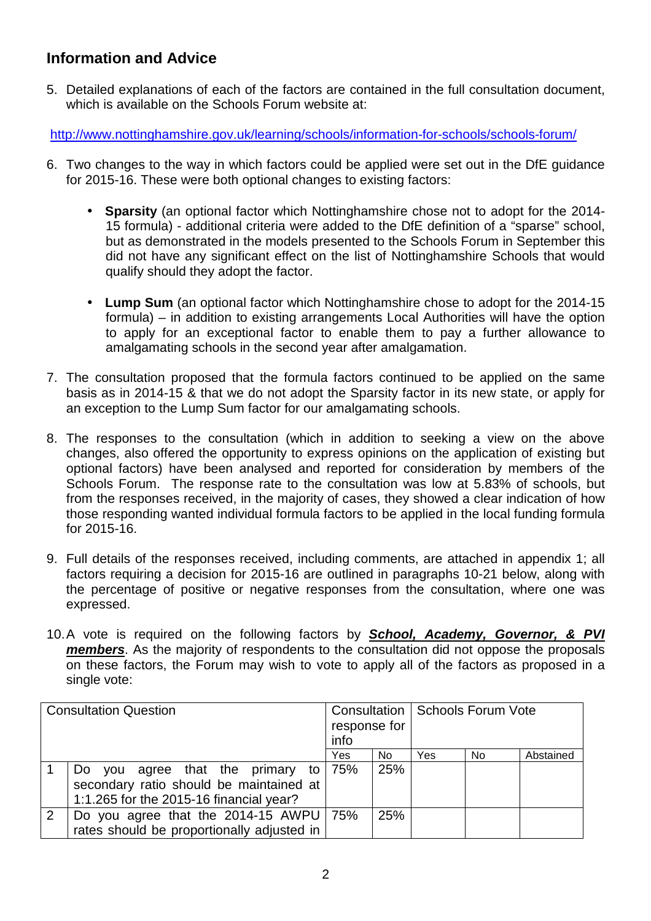# **Information and Advice**

5. Detailed explanations of each of the factors are contained in the full consultation document, which is available on the Schools Forum website at:

http://www.nottinghamshire.gov.uk/learning/schools/information-for-schools/schools-forum/

- 6. Two changes to the way in which factors could be applied were set out in the DfE guidance for 2015-16. These were both optional changes to existing factors:
	- **Sparsity** (an optional factor which Nottinghamshire chose not to adopt for the 2014- 15 formula) - additional criteria were added to the DfE definition of a "sparse" school, but as demonstrated in the models presented to the Schools Forum in September this did not have any significant effect on the list of Nottinghamshire Schools that would qualify should they adopt the factor.
	- **Lump Sum** (an optional factor which Nottinghamshire chose to adopt for the 2014-15 formula) – in addition to existing arrangements Local Authorities will have the option to apply for an exceptional factor to enable them to pay a further allowance to amalgamating schools in the second year after amalgamation.
- 7. The consultation proposed that the formula factors continued to be applied on the same basis as in 2014-15 & that we do not adopt the Sparsity factor in its new state, or apply for an exception to the Lump Sum factor for our amalgamating schools.
- 8. The responses to the consultation (which in addition to seeking a view on the above changes, also offered the opportunity to express opinions on the application of existing but optional factors) have been analysed and reported for consideration by members of the Schools Forum. The response rate to the consultation was low at 5.83% of schools, but from the responses received, in the majority of cases, they showed a clear indication of how those responding wanted individual formula factors to be applied in the local funding formula for 2015-16.
- 9. Full details of the responses received, including comments, are attached in appendix 1; all factors requiring a decision for 2015-16 are outlined in paragraphs 10-21 below, along with the percentage of positive or negative responses from the consultation, where one was expressed.
- 10. A vote is required on the following factors by **School, Academy, Governor, & PVI members**. As the majority of respondents to the consultation did not oppose the proposals on these factors, the Forum may wish to vote to apply all of the factors as proposed in a single vote:

| <b>Consultation Question</b> |                                                                                                                           | response for<br>info |     | Consultation   Schools Forum Vote |     |           |
|------------------------------|---------------------------------------------------------------------------------------------------------------------------|----------------------|-----|-----------------------------------|-----|-----------|
|                              |                                                                                                                           | Yes                  | No. | Yes                               | No. | Abstained |
|                              | agree that the primary to<br>Do you<br>secondary ratio should be maintained at<br>1:1.265 for the 2015-16 financial year? | 75%                  | 25% |                                   |     |           |
| 2                            | Do you agree that the 2014-15 AWPU 75%<br>rates should be proportionally adjusted in                                      |                      | 25% |                                   |     |           |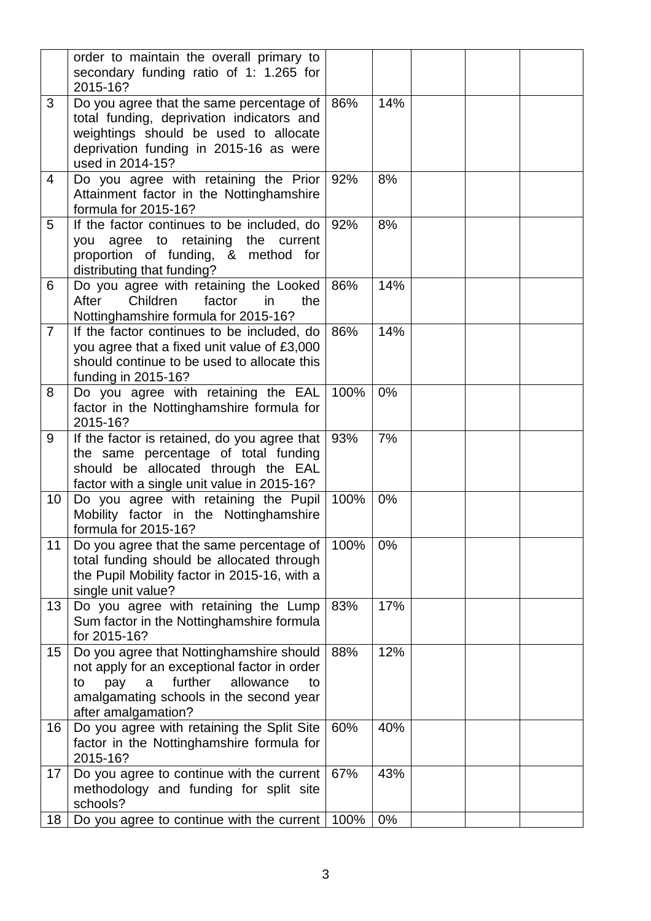|                | order to maintain the overall primary to<br>secondary funding ratio of 1: 1.265 for<br>2015-16?                                                                                                            |      |     |  |  |
|----------------|------------------------------------------------------------------------------------------------------------------------------------------------------------------------------------------------------------|------|-----|--|--|
| 3              | Do you agree that the same percentage of<br>total funding, deprivation indicators and<br>weightings should be used to allocate<br>deprivation funding in 2015-16 as were<br>used in 2014-15?               | 86%  | 14% |  |  |
| 4              | Do you agree with retaining the Prior<br>Attainment factor in the Nottinghamshire<br>formula for 2015-16?                                                                                                  | 92%  | 8%  |  |  |
| 5              | If the factor continues to be included, do<br>you agree to retaining the current<br>proportion of funding, & method for<br>distributing that funding?                                                      | 92%  | 8%  |  |  |
| 6              | Do you agree with retaining the Looked<br>Children<br>factor<br>After<br>in<br>the<br>Nottinghamshire formula for 2015-16?                                                                                 | 86%  | 14% |  |  |
| $\overline{7}$ | If the factor continues to be included, do<br>you agree that a fixed unit value of £3,000<br>should continue to be used to allocate this<br>funding in 2015-16?                                            | 86%  | 14% |  |  |
| 8              | Do you agree with retaining the EAL<br>factor in the Nottinghamshire formula for<br>2015-16?                                                                                                               | 100% | 0%  |  |  |
| 9              | If the factor is retained, do you agree that<br>the same percentage of total funding<br>should be allocated through the EAL<br>factor with a single unit value in 2015-16?                                 | 93%  | 7%  |  |  |
| 10             | Do you agree with retaining the Pupil<br>Mobility factor in the Nottinghamshire<br>formula for 2015-16?                                                                                                    | 100% | 0%  |  |  |
| 11             | Do you agree that the same percentage of<br>total funding should be allocated through<br>the Pupil Mobility factor in 2015-16, with a<br>single unit value?                                                | 100% | 0%  |  |  |
| 13             | Do you agree with retaining the Lump<br>Sum factor in the Nottinghamshire formula<br>for 2015-16?                                                                                                          | 83%  | 17% |  |  |
| 15             | Do you agree that Nottinghamshire should<br>not apply for an exceptional factor in order<br>further<br>allowance<br>pay<br>a<br>to<br>to<br>amalgamating schools in the second year<br>after amalgamation? | 88%  | 12% |  |  |
| 16             | Do you agree with retaining the Split Site<br>factor in the Nottinghamshire formula for<br>2015-16?                                                                                                        | 60%  | 40% |  |  |
| 17             | Do you agree to continue with the current<br>methodology and funding for split site<br>schools?                                                                                                            | 67%  | 43% |  |  |
| 18             | Do you agree to continue with the current   100%                                                                                                                                                           |      | 0%  |  |  |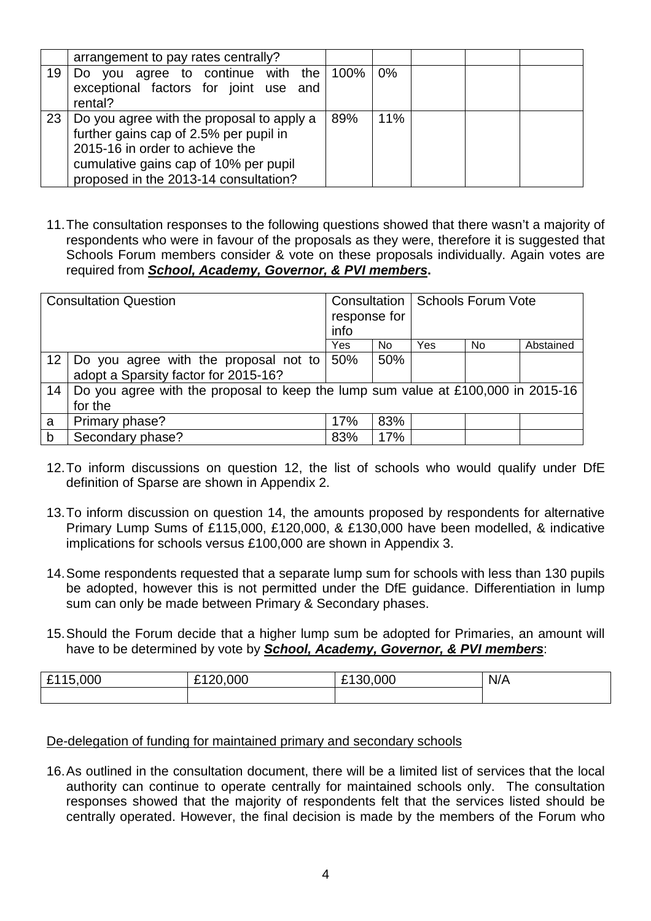|    | arrangement to pay rates centrally?                                                                                                                                                                      |     |     |  |  |
|----|----------------------------------------------------------------------------------------------------------------------------------------------------------------------------------------------------------|-----|-----|--|--|
| 19 | Do you agree to continue with the 100%<br>exceptional factors for joint use and<br>rental?                                                                                                               |     | 0%  |  |  |
| 23 | Do you agree with the proposal to apply a<br>further gains cap of 2.5% per pupil in<br>2015-16 in order to achieve the<br>cumulative gains cap of 10% per pupil<br>proposed in the 2013-14 consultation? | 89% | 11% |  |  |

11. The consultation responses to the following questions showed that there wasn't a majority of respondents who were in favour of the proposals as they were, therefore it is suggested that Schools Forum members consider & vote on these proposals individually. Again votes are required from **School, Academy, Governor, & PVI members.**

| <b>Consultation Question</b> |                                                                                  | response for<br>info |     | <b>Consultation   Schools Forum Vote</b> |           |           |
|------------------------------|----------------------------------------------------------------------------------|----------------------|-----|------------------------------------------|-----------|-----------|
|                              |                                                                                  | Yes                  | No. | Yes                                      | <b>No</b> | Abstained |
| 12 <sup>7</sup>              | Do you agree with the proposal not to 50%                                        |                      | 50% |                                          |           |           |
|                              | adopt a Sparsity factor for 2015-16?                                             |                      |     |                                          |           |           |
| 14                           | Do you agree with the proposal to keep the lump sum value at £100,000 in 2015-16 |                      |     |                                          |           |           |
|                              | for the                                                                          |                      |     |                                          |           |           |
| a                            | Primary phase?                                                                   | 17%                  | 83% |                                          |           |           |
| b                            | Secondary phase?                                                                 | 83%                  | 17% |                                          |           |           |

- 12. To inform discussions on question 12, the list of schools who would qualify under DfE definition of Sparse are shown in Appendix 2.
- 13. To inform discussion on question 14, the amounts proposed by respondents for alternative Primary Lump Sums of £115,000, £120,000, & £130,000 have been modelled, & indicative implications for schools versus £100,000 are shown in Appendix 3.
- 14. Some respondents requested that a separate lump sum for schools with less than 130 pupils be adopted, however this is not permitted under the DfE guidance. Differentiation in lump sum can only be made between Primary & Secondary phases.
- 15. Should the Forum decide that a higher lump sum be adopted for Primaries, an amount will have to be determined by vote by **School, Academy, Governor, & PVI members**:

| 000,<br>£1<br>$\sim$ | ,000<br>ີ້<br>$\sim$ | .000<br>£130 | N/A |
|----------------------|----------------------|--------------|-----|
|                      |                      |              |     |

#### De-delegation of funding for maintained primary and secondary schools

16. As outlined in the consultation document, there will be a limited list of services that the local authority can continue to operate centrally for maintained schools only. The consultation responses showed that the majority of respondents felt that the services listed should be centrally operated. However, the final decision is made by the members of the Forum who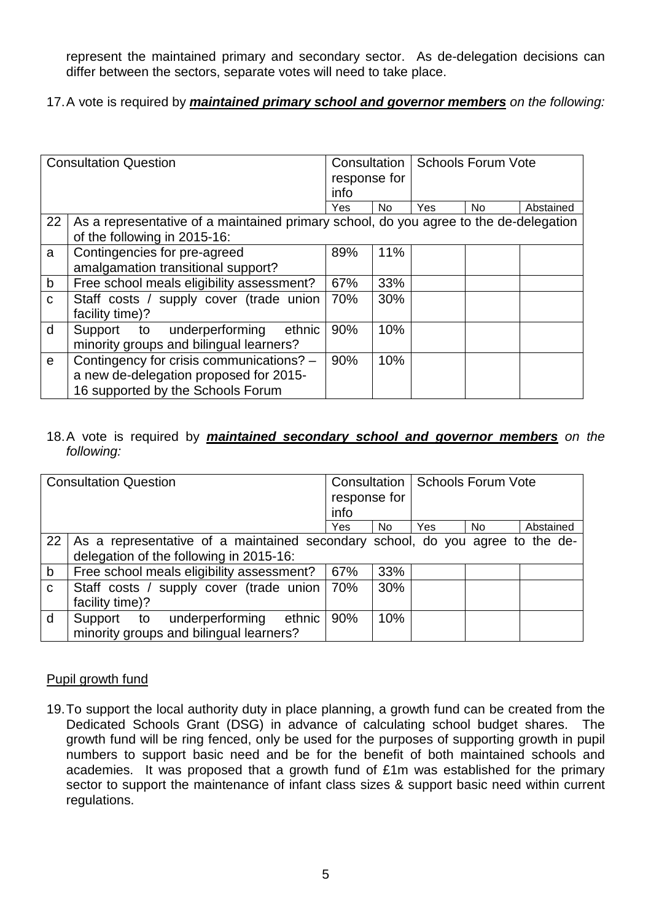represent the maintained primary and secondary sector. As de-delegation decisions can differ between the sectors, separate votes will need to take place.

17. A vote is required by **maintained primary school and governor members** on the following:

| <b>Consultation Question</b> |                                                                                                                         | <b>Consultation</b><br>response for<br>info |     | <b>Schools Forum Vote</b> |     |           |
|------------------------------|-------------------------------------------------------------------------------------------------------------------------|---------------------------------------------|-----|---------------------------|-----|-----------|
|                              |                                                                                                                         | Yes                                         | No. | Yes                       | No. | Abstained |
| 22                           | As a representative of a maintained primary school, do you agree to the de-delegation<br>of the following in 2015-16:   |                                             |     |                           |     |           |
| a                            | Contingencies for pre-agreed<br>amalgamation transitional support?                                                      | 89%                                         | 11% |                           |     |           |
| $\mathsf b$                  | Free school meals eligibility assessment?                                                                               | 67%                                         | 33% |                           |     |           |
| $\mathbf{C}$                 | Staff costs / supply cover (trade union<br>facility time)?                                                              | 70%                                         | 30% |                           |     |           |
| d                            | Support to underperforming<br>ethnic<br>minority groups and bilingual learners?                                         | 90%                                         | 10% |                           |     |           |
| $\mathbf{e}$                 | Contingency for crisis communications? -<br>a new de-delegation proposed for 2015-<br>16 supported by the Schools Forum | 90%                                         | 10% |                           |     |           |

#### 18. A vote is required by **maintained secondary school and governor members** on the following:

| <b>Consultation Question</b> |                                                                               |              |     | <b>Consultation   Schools Forum Vote</b> |     |           |
|------------------------------|-------------------------------------------------------------------------------|--------------|-----|------------------------------------------|-----|-----------|
|                              |                                                                               | response for |     |                                          |     |           |
|                              |                                                                               | info         |     |                                          |     |           |
|                              |                                                                               | Yes          | No. | Yes                                      | No. | Abstained |
| 22                           | As a representative of a maintained secondary school, do you agree to the de- |              |     |                                          |     |           |
|                              | delegation of the following in 2015-16:                                       |              |     |                                          |     |           |
| b                            | Free school meals eligibility assessment?                                     | 67%          | 33% |                                          |     |           |
| $\mathbf{C}$                 | Staff costs / supply cover (trade union                                       | 70%          | 30% |                                          |     |           |
|                              | facility time)?                                                               |              |     |                                          |     |           |
| d                            | ethnic<br>underperforming<br>Support to                                       | 90%          | 10% |                                          |     |           |
|                              | minority groups and bilingual learners?                                       |              |     |                                          |     |           |

#### Pupil growth fund

19. To support the local authority duty in place planning, a growth fund can be created from the Dedicated Schools Grant (DSG) in advance of calculating school budget shares. The growth fund will be ring fenced, only be used for the purposes of supporting growth in pupil numbers to support basic need and be for the benefit of both maintained schools and academies. It was proposed that a growth fund of £1m was established for the primary sector to support the maintenance of infant class sizes & support basic need within current regulations.